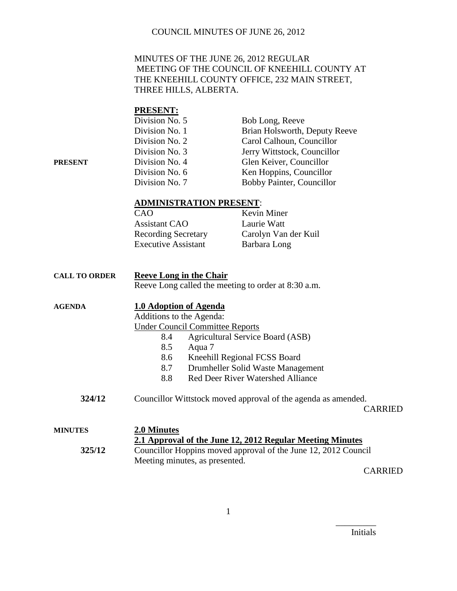#### MINUTES OF THE JUNE 26, 2012 REGULAR MEETING OF THE COUNCIL OF KNEEHILL COUNTY AT THE KNEEHILL COUNTY OFFICE, 232 MAIN STREET, THREE HILLS, ALBERTA.

#### **PRESENT:**

|         | Division No. 5 | Bob Long, Reeve               |
|---------|----------------|-------------------------------|
|         | Division No. 1 | Brian Holsworth, Deputy Reeve |
|         | Division No. 2 | Carol Calhoun, Councillor     |
|         | Division No. 3 | Jerry Wittstock, Councillor   |
| PRESENT | Division No. 4 | Glen Keiver, Councillor       |
|         | Division No. 6 | Ken Hoppins, Councillor       |
|         | Division No. 7 | Bobby Painter, Councillor     |

#### **ADMINISTRATION PRESENT**:

| Carolyn Van der Kuil |
|----------------------|
|                      |
|                      |

| <b>CALL TO ORDER</b> |                          | <b>Reeve Long in the Chair</b><br>Reeve Long called the meeting to order at 8:30 a.m. |
|----------------------|--------------------------|---------------------------------------------------------------------------------------|
| <b>AGENDA</b>        |                          | <b>1.0 Adoption of Agenda</b>                                                         |
|                      | Additions to the Agenda: |                                                                                       |
|                      |                          | <b>Under Council Committee Reports</b>                                                |
|                      | 8.4                      | Agricultural Service Board (ASB)                                                      |
|                      | 8.5                      | Aqua 7                                                                                |
|                      | 8.6                      | Kneehill Regional FCSS Board                                                          |
|                      | 8.7                      | Drumheller Solid Waste Management                                                     |
|                      | 8.8                      | Red Deer River Watershed Alliance                                                     |
|                      |                          |                                                                                       |

**324/12** Councillor Wittstock moved approval of the agenda as amended.

CARRIED

| MINUTES | 2.0 Minutes<br>2.1 Approval of the June 12, 2012 Regular Meeting Minutes |  |
|---------|--------------------------------------------------------------------------|--|
| 325/12  | Councillor Hoppins moved approval of the June 12, 2012 Council           |  |
|         | Meeting minutes, as presented.                                           |  |

CARRIED

Initials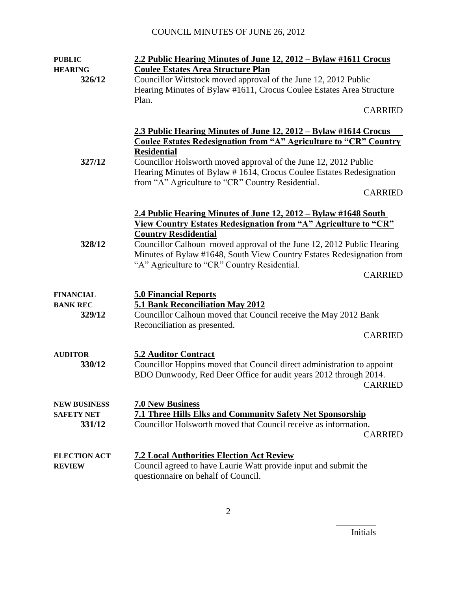| <b>PUBLIC</b>                                      | 2.2 Public Hearing Minutes of June 12, 2012 - Bylaw #1611 Crocus                                                                                                                                                                                                                                                                                                                      |
|----------------------------------------------------|---------------------------------------------------------------------------------------------------------------------------------------------------------------------------------------------------------------------------------------------------------------------------------------------------------------------------------------------------------------------------------------|
| <b>HEARING</b><br>326/12                           | <b>Coulee Estates Area Structure Plan</b><br>Councillor Wittstock moved approval of the June 12, 2012 Public<br>Hearing Minutes of Bylaw #1611, Crocus Coulee Estates Area Structure                                                                                                                                                                                                  |
|                                                    | Plan.<br><b>CARRIED</b>                                                                                                                                                                                                                                                                                                                                                               |
|                                                    | 2.3 Public Hearing Minutes of June 12, 2012 – Bylaw #1614 Crocus<br><b>Coulee Estates Redesignation from "A" Agriculture to "CR" Country</b>                                                                                                                                                                                                                                          |
| 327/12                                             | <b>Residential</b><br>Councillor Holsworth moved approval of the June 12, 2012 Public<br>Hearing Minutes of Bylaw #1614, Crocus Coulee Estates Redesignation<br>from "A" Agriculture to "CR" Country Residential.<br><b>CARRIED</b>                                                                                                                                                   |
| 328/12                                             | 2.4 Public Hearing Minutes of June 12, 2012 – Bylaw #1648 South<br>View Country Estates Redesignation from "A" Agriculture to "CR"<br><b>Country Resdidential</b><br>Councillor Calhoun moved approval of the June 12, 2012 Public Hearing<br>Minutes of Bylaw #1648, South View Country Estates Redesignation from<br>"A" Agriculture to "CR" Country Residential.<br><b>CARRIED</b> |
| <b>FINANCIAL</b><br><b>BANK REC</b><br>329/12      | <b>5.0 Financial Reports</b><br>5.1 Bank Reconciliation May 2012<br>Councillor Calhoun moved that Council receive the May 2012 Bank<br>Reconciliation as presented.<br><b>CARRIED</b>                                                                                                                                                                                                 |
| <b>AUDITOR</b><br>330/12                           | <b>5.2 Auditor Contract</b><br>Councillor Hoppins moved that Council direct administration to appoint<br>BDO Dunwoody, Red Deer Office for audit years 2012 through 2014.<br><b>CARRIED</b>                                                                                                                                                                                           |
| <b>NEW BUSINESS</b><br><b>SAFETY NET</b><br>331/12 | <b>7.0 New Business</b><br><b>7.1 Three Hills Elks and Community Safety Net Sponsorship</b><br>Councillor Holsworth moved that Council receive as information.<br><b>CARRIED</b>                                                                                                                                                                                                      |
| <b>ELECTION ACT</b><br><b>REVIEW</b>               | <b>7.2 Local Authorities Election Act Review</b><br>Council agreed to have Laurie Watt provide input and submit the<br>questionnaire on behalf of Council.                                                                                                                                                                                                                            |

Initials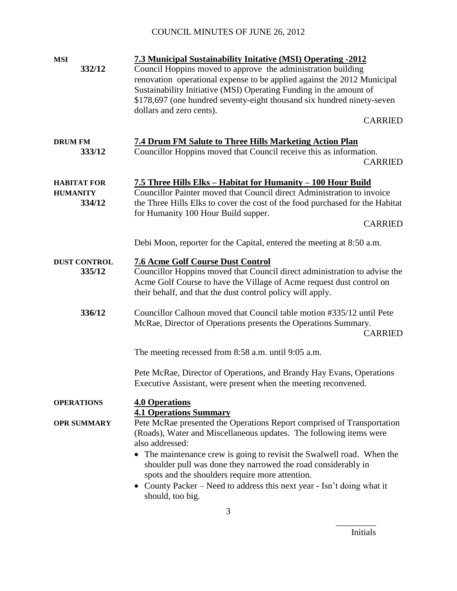| <b>MSI</b><br>332/12                            | 7.3 Municipal Sustainability Initative (MSI) Operating -2012<br>Council Hoppins moved to approve the administration building<br>renovation operational expense to be applied against the 2012 Municipal<br>Sustainability Initiative (MSI) Operating Funding in the amount of<br>\$178,697 (one hundred seventy-eight thousand six hundred ninety-seven<br>dollars and zero cents).                                                                                                          |
|-------------------------------------------------|----------------------------------------------------------------------------------------------------------------------------------------------------------------------------------------------------------------------------------------------------------------------------------------------------------------------------------------------------------------------------------------------------------------------------------------------------------------------------------------------|
|                                                 | <b>CARRIED</b>                                                                                                                                                                                                                                                                                                                                                                                                                                                                               |
| <b>DRUM FM</b><br>333/12                        | <b>7.4 Drum FM Salute to Three Hills Marketing Action Plan</b><br>Councillor Hoppins moved that Council receive this as information.<br><b>CARRIED</b>                                                                                                                                                                                                                                                                                                                                       |
| <b>HABITAT FOR</b><br><b>HUMANITY</b><br>334/12 | 7.5 Three Hills Elks - Habitat for Humanity - 100 Hour Build<br>Councillor Painter moved that Council direct Administration to invoice<br>the Three Hills Elks to cover the cost of the food purchased for the Habitat<br>for Humanity 100 Hour Build supper.<br><b>CARRIED</b>                                                                                                                                                                                                              |
|                                                 | Debi Moon, reporter for the Capital, entered the meeting at 8:50 a.m.                                                                                                                                                                                                                                                                                                                                                                                                                        |
| <b>DUST CONTROL</b><br>335/12                   | <b>7.6 Acme Golf Course Dust Control</b><br>Councillor Hoppins moved that Council direct administration to advise the<br>Acme Golf Course to have the Village of Acme request dust control on<br>their behalf, and that the dust control policy will apply.                                                                                                                                                                                                                                  |
| 336/12                                          | Councillor Calhoun moved that Council table motion #335/12 until Pete<br>McRae, Director of Operations presents the Operations Summary.<br><b>CARRIED</b>                                                                                                                                                                                                                                                                                                                                    |
|                                                 | The meeting recessed from 8:58 a.m. until 9:05 a.m.                                                                                                                                                                                                                                                                                                                                                                                                                                          |
|                                                 | Pete McRae, Director of Operations, and Brandy Hay Evans, Operations<br>Executive Assistant, were present when the meeting reconvened.                                                                                                                                                                                                                                                                                                                                                       |
| <b>OPERATIONS</b>                               | <b>4.0 Operations</b>                                                                                                                                                                                                                                                                                                                                                                                                                                                                        |
| <b>OPR SUMMARY</b>                              | <b>4.1 Operations Summary</b><br>Pete McRae presented the Operations Report comprised of Transportation<br>(Roads), Water and Miscellaneous updates. The following items were<br>also addressed:<br>• The maintenance crew is going to revisit the Swalwell road. When the<br>shoulder pull was done they narrowed the road considerably in<br>spots and the shoulders require more attention.<br>• County Packer – Need to address this next year - Isn't doing what it<br>should, too big. |
|                                                 | 3                                                                                                                                                                                                                                                                                                                                                                                                                                                                                            |

Initials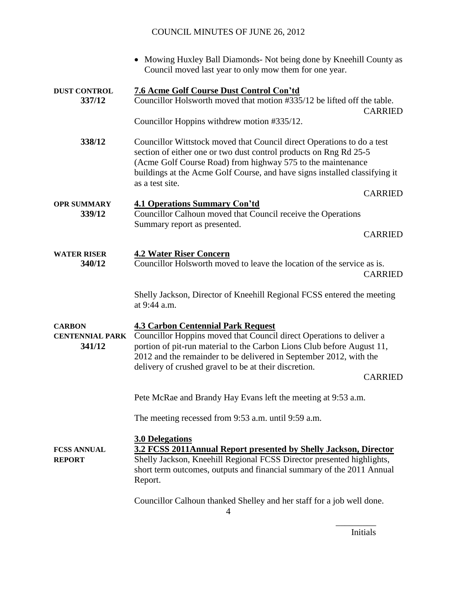|                                                   | • Mowing Huxley Ball Diamonds- Not being done by Kneehill County as<br>Council moved last year to only mow them for one year.                                                                                                                                                                                                                |
|---------------------------------------------------|----------------------------------------------------------------------------------------------------------------------------------------------------------------------------------------------------------------------------------------------------------------------------------------------------------------------------------------------|
| <b>DUST CONTROL</b><br>337/12                     | <b>7.6 Acme Golf Course Dust Control Con'td</b><br>Councillor Holsworth moved that motion #335/12 be lifted off the table.<br><b>CARRIED</b><br>Councillor Hoppins withdrew motion #335/12.                                                                                                                                                  |
| 338/12                                            | Councillor Wittstock moved that Council direct Operations to do a test<br>section of either one or two dust control products on Rng Rd 25-5<br>(Acme Golf Course Road) from highway 575 to the maintenance<br>buildings at the Acme Golf Course, and have signs installed classifying it<br>as a test site.                                  |
|                                                   | <b>CARRIED</b>                                                                                                                                                                                                                                                                                                                               |
| <b>OPR SUMMARY</b><br>339/12                      | <b>4.1 Operations Summary Con'td</b><br>Councillor Calhoun moved that Council receive the Operations                                                                                                                                                                                                                                         |
|                                                   | Summary report as presented.<br><b>CARRIED</b>                                                                                                                                                                                                                                                                                               |
| <b>WATER RISER</b><br>340/12                      | <b>4.2 Water Riser Concern</b><br>Councillor Holsworth moved to leave the location of the service as is.<br><b>CARRIED</b>                                                                                                                                                                                                                   |
|                                                   | Shelly Jackson, Director of Kneehill Regional FCSS entered the meeting<br>at 9:44 a.m.                                                                                                                                                                                                                                                       |
| <b>CARBON</b><br><b>CENTENNIAL PARK</b><br>341/12 | <b>4.3 Carbon Centennial Park Request</b><br>Councillor Hoppins moved that Council direct Operations to deliver a<br>portion of pit-run material to the Carbon Lions Club before August 11,<br>2012 and the remainder to be delivered in September 2012, with the<br>delivery of crushed gravel to be at their discretion.<br><b>CARRIED</b> |
|                                                   | Pete McRae and Brandy Hay Evans left the meeting at 9:53 a.m.                                                                                                                                                                                                                                                                                |
|                                                   | The meeting recessed from 9:53 a.m. until 9:59 a.m.                                                                                                                                                                                                                                                                                          |
| <b>FCSS ANNUAL</b><br><b>REPORT</b>               | <b>3.0 Delegations</b><br>3.2 FCSS 2011Annual Report presented by Shelly Jackson, Director<br>Shelly Jackson, Kneehill Regional FCSS Director presented highlights,<br>short term outcomes, outputs and financial summary of the 2011 Annual<br>Report.                                                                                      |
|                                                   | Councillor Calhoun thanked Shelley and her staff for a job well done.                                                                                                                                                                                                                                                                        |

Initials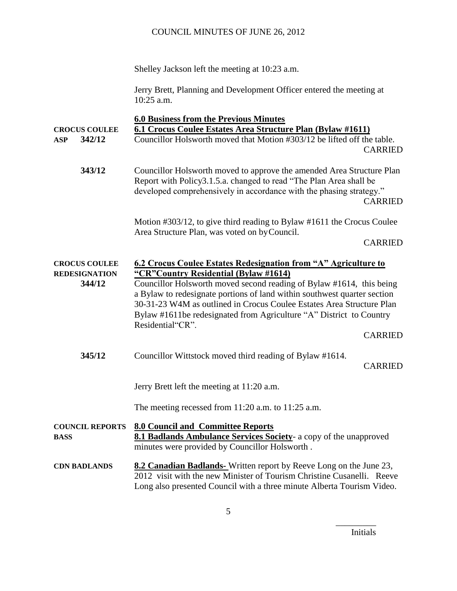Shelley Jackson left the meeting at 10:23 a.m.

Jerry Brett, Planning and Development Officer entered the meeting at 10:25 a.m.

|                                       | <b>6.0 Business from the Previous Minutes</b>                                                                                                                                                                                                                                                                        |                |
|---------------------------------------|----------------------------------------------------------------------------------------------------------------------------------------------------------------------------------------------------------------------------------------------------------------------------------------------------------------------|----------------|
| <b>CROCUS COULEE</b>                  | 6.1 Crocus Coulee Estates Area Structure Plan (Bylaw #1611)                                                                                                                                                                                                                                                          |                |
| 342/12<br><b>ASP</b>                  | Councillor Holsworth moved that Motion #303/12 be lifted off the table.                                                                                                                                                                                                                                              | <b>CARRIED</b> |
| 343/12                                | Councillor Holsworth moved to approve the amended Area Structure Plan<br>Report with Policy3.1.5.a. changed to read "The Plan Area shall be<br>developed comprehensively in accordance with the phasing strategy."                                                                                                   | <b>CARRIED</b> |
|                                       | Motion #303/12, to give third reading to Bylaw #1611 the Crocus Coulee<br>Area Structure Plan, was voted on by Council.                                                                                                                                                                                              |                |
|                                       |                                                                                                                                                                                                                                                                                                                      | <b>CARRIED</b> |
| <b>CROCUS COULEE</b>                  | 6.2 Crocus Coulee Estates Redesignation from "A" Agriculture to                                                                                                                                                                                                                                                      |                |
| <b>REDESIGNATION</b>                  | "CR" Country Residential (Bylaw #1614)                                                                                                                                                                                                                                                                               |                |
| 344/12                                | Councillor Holsworth moved second reading of Bylaw #1614, this being<br>a Bylaw to redesignate portions of land within southwest quarter section<br>30-31-23 W4M as outlined in Crocus Coulee Estates Area Structure Plan<br>Bylaw #1611be redesignated from Agriculture "A" District to Country<br>Residential"CR". |                |
|                                       |                                                                                                                                                                                                                                                                                                                      | <b>CARRIED</b> |
| 345/12                                | Councillor Wittstock moved third reading of Bylaw #1614.                                                                                                                                                                                                                                                             | <b>CARRIED</b> |
|                                       | Jerry Brett left the meeting at 11:20 a.m.                                                                                                                                                                                                                                                                           |                |
|                                       | The meeting recessed from $11:20$ a.m. to $11:25$ a.m.                                                                                                                                                                                                                                                               |                |
| <b>COUNCIL REPORTS</b><br><b>BASS</b> | <b>8.0 Council and Committee Reports</b><br>8.1 Badlands Ambulance Services Society- a copy of the unapproved<br>minutes were provided by Councillor Holsworth.                                                                                                                                                      |                |
| <b>CDN BADLANDS</b>                   | 8.2 Canadian Badlands-Written report by Reeve Long on the June 23,<br>2012 visit with the new Minister of Tourism Christine Cusanelli. Reeve<br>Long also presented Council with a three minute Alberta Tourism Video.                                                                                               |                |

Initials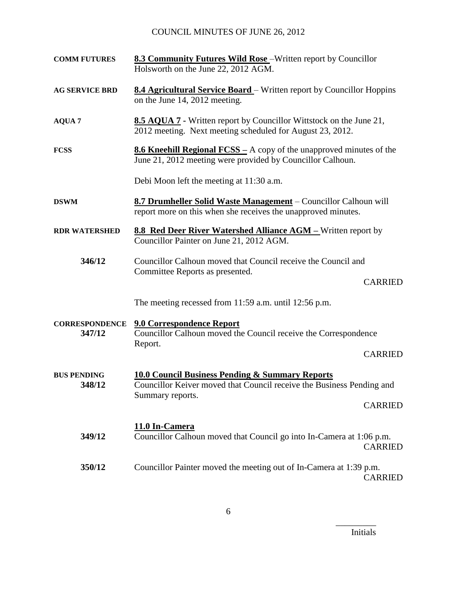| <b>COMM FUTURES</b>             | <b>8.3 Community Futures Wild Rose</b> - Written report by Councillor<br>Holsworth on the June 22, 2012 AGM.                              |
|---------------------------------|-------------------------------------------------------------------------------------------------------------------------------------------|
| <b>AG SERVICE BRD</b>           | <b>8.4 Agricultural Service Board</b> – Written report by Councillor Hoppins<br>on the June 14, 2012 meeting.                             |
| <b>AQUA 7</b>                   | <b>8.5 AQUA 7</b> - Written report by Councillor Wittstock on the June 21,<br>2012 meeting. Next meeting scheduled for August 23, 2012.   |
| <b>FCSS</b>                     | <b>8.6 Kneehill Regional FCSS</b> – A copy of the unapproved minutes of the<br>June 21, 2012 meeting were provided by Councillor Calhoun. |
|                                 | Debi Moon left the meeting at 11:30 a.m.                                                                                                  |
| <b>DSWM</b>                     | 8.7 Drumheller Solid Waste Management – Councillor Calhoun will<br>report more on this when she receives the unapproved minutes.          |
| <b>RDR WATERSHED</b>            | 8.8 Red Deer River Watershed Alliance AGM - Written report by<br>Councillor Painter on June 21, 2012 AGM.                                 |
| 346/12                          | Councillor Calhoun moved that Council receive the Council and<br>Committee Reports as presented.                                          |
|                                 | <b>CARRIED</b>                                                                                                                            |
|                                 | The meeting recessed from 11:59 a.m. until 12:56 p.m.                                                                                     |
| <b>CORRESPONDENCE</b><br>347/12 | 9.0 Correspondence Report<br>Councillor Calhoun moved the Council receive the Correspondence<br>Report.                                   |
|                                 | <b>CARRIED</b>                                                                                                                            |
| <b>BUS PENDING</b><br>348/12    | <b>10.0 Council Business Pending &amp; Summary Reports</b><br>Councillor Keiver moved that Council receive the Business Pending and       |
|                                 | Summary reports.<br><b>CARRIED</b>                                                                                                        |
| 349/12                          | 11.0 In-Camera<br>Councillor Calhoun moved that Council go into In-Camera at 1:06 p.m.<br><b>CARRIED</b>                                  |
| 350/12                          | Councillor Painter moved the meeting out of In-Camera at 1:39 p.m.<br><b>CARRIED</b>                                                      |

Initials